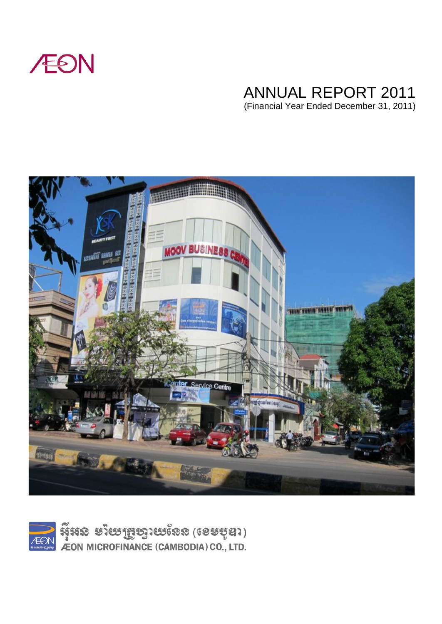

# ANNUAL REPORT 2011

(Financial Year Ended December 31, 2011)



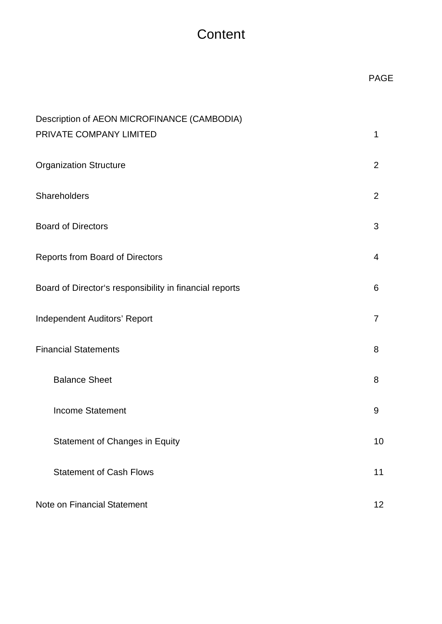## **Content**

| Description of AEON MICROFINANCE (CAMBODIA)<br>PRIVATE COMPANY LIMITED | $\mathbf 1$    |
|------------------------------------------------------------------------|----------------|
| <b>Organization Structure</b>                                          | 2              |
| Shareholders                                                           | 2              |
| <b>Board of Directors</b>                                              | 3              |
| Reports from Board of Directors                                        | 4              |
| Board of Director's responsibility in financial reports                | 6              |
| Independent Auditors' Report                                           | $\overline{7}$ |
| <b>Financial Statements</b>                                            | 8              |
| <b>Balance Sheet</b>                                                   | 8              |
| <b>Income Statement</b>                                                | 9              |
| <b>Statement of Changes in Equity</b>                                  | 10             |
| <b>Statement of Cash Flows</b>                                         | 11             |
| Note on Financial Statement                                            | 12             |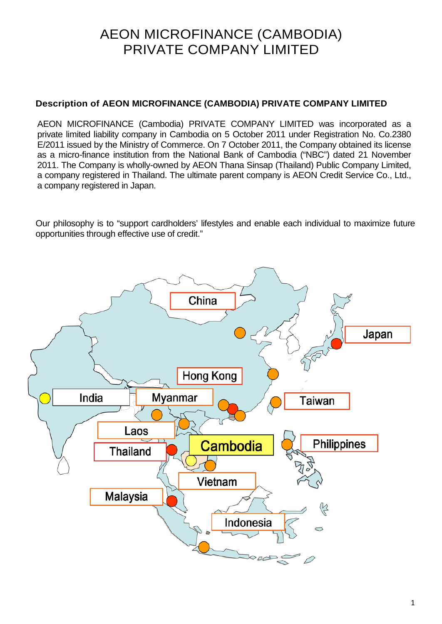## AEON MICROFINANCE (CAMBODIA) PRIVATE COMPANY LIMITED

#### **Description of AEON MICROFINANCE (CAMBODIA) PRIVATE COMPANY LIMITED**

AEON MICROFINANCE (Cambodia) PRIVATE COMPANY LIMITED was incorporated as a private limited liability company in Cambodia on 5 October 2011 under Registration No. Co.2380 E/2011 issued by the Ministry of Commerce. On 7 October 2011, the Company obtained its license as a micro-finance institution from the National Bank of Cambodia ("NBC") dated 21 November 2011. The Company is wholly-owned by AEON Thana Sinsap (Thailand) Public Company Limited, a company registered in Thailand. The ultimate parent company is AEON Credit Service Co., Ltd., a company registered in Japan.

Our philosophy is to "support cardholders' lifestyles and enable each individual to maximize future opportunities through effective use of credit."

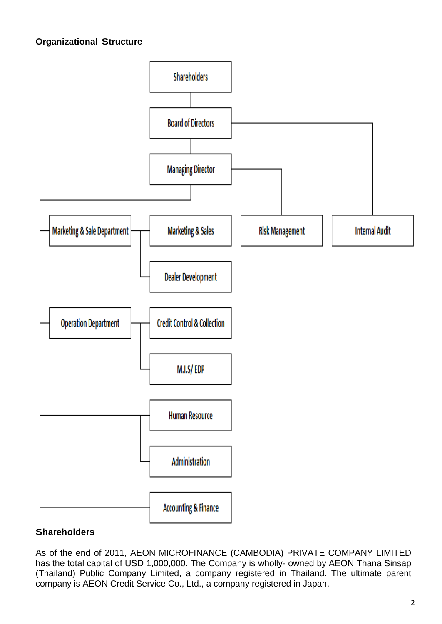#### **Organizational Structure**



#### **Shareholders**

As of the end of 2011, AEON MICROFINANCE (CAMBODIA) PRIVATE COMPANY LIMITED has the total capital of USD 1,000,000. The Company is wholly- owned by AEON Thana Sinsap (Thailand) Public Company Limited, a company registered in Thailand. The ultimate parent company is AEON Credit Service Co., Ltd., a company registered in Japan.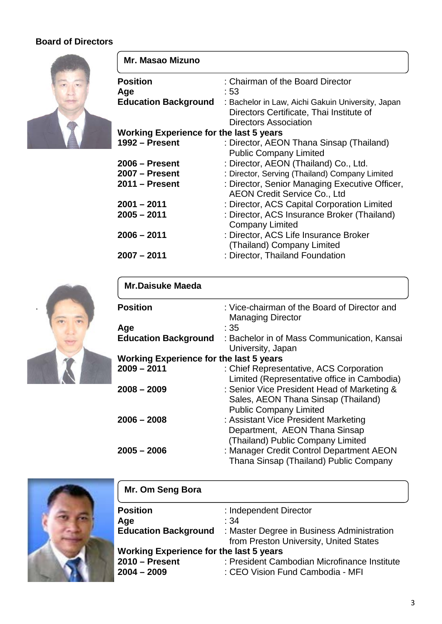#### **Board of Directors**



| Mr. Masao Mizuno                               |                                                                                                                        |
|------------------------------------------------|------------------------------------------------------------------------------------------------------------------------|
| <b>Position</b>                                | : Chairman of the Board Director                                                                                       |
| Age                                            | : 53                                                                                                                   |
| <b>Education Background</b>                    | : Bachelor in Law, Aichi Gakuin University, Japan<br>Directors Certificate, Thai Institute of<br>Directors Association |
| <b>Working Experience for the last 5 years</b> |                                                                                                                        |
| $1992 -$ Present                               | : Director, AEON Thana Sinsap (Thailand)<br><b>Public Company Limited</b>                                              |
| $2006 -$ Present                               | : Director, AEON (Thailand) Co., Ltd.                                                                                  |
| $2007 -$ Present                               | : Director, Serving (Thailand) Company Limited                                                                         |
| $2011 -$ Present                               | : Director, Senior Managing Executive Officer,<br><b>AEON Credit Service Co., Ltd</b>                                  |
| $2001 - 2011$                                  | : Director, ACS Capital Corporation Limited                                                                            |
| $2005 - 2011$                                  | : Director, ACS Insurance Broker (Thailand)<br><b>Company Limited</b>                                                  |
| $2006 - 2011$                                  | : Director, ACS Life Insurance Broker<br>(Thailand) Company Limited                                                    |
| $2007 - 2011$                                  | : Director, Thailand Foundation                                                                                        |



| <b>Mr.Daisuke Maeda</b>                        |                                                                                                                     |
|------------------------------------------------|---------------------------------------------------------------------------------------------------------------------|
| <b>Position</b>                                | : Vice-chairman of the Board of Director and<br><b>Managing Director</b>                                            |
| Age                                            | : 35                                                                                                                |
| <b>Education Background</b>                    | : Bachelor in of Mass Communication, Kansai<br>University, Japan                                                    |
| <b>Working Experience for the last 5 years</b> |                                                                                                                     |
| $2009 - 2011$                                  | : Chief Representative, ACS Corporation<br>Limited (Representative office in Cambodia)                              |
| $2008 - 2009$                                  | : Senior Vice President Head of Marketing &<br>Sales, AEON Thana Sinsap (Thailand)<br><b>Public Company Limited</b> |
| $2006 - 2008$                                  | : Assistant Vice President Marketing<br>Department, AEON Thana Sinsap<br>(Thailand) Public Company Limited          |
| $2005 - 2006$                                  | : Manager Credit Control Department AEON<br>Thana Sinsap (Thailand) Public Company                                  |

 $\overline{a}$ 



| Mr. Om Seng Bora                               |                                                                                      |
|------------------------------------------------|--------------------------------------------------------------------------------------|
| <b>Position</b>                                | : Independent Director                                                               |
| Age                                            | :34                                                                                  |
| <b>Education Background</b>                    | : Master Degree in Business Administration<br>from Preston University, United States |
| <b>Working Experience for the last 5 years</b> |                                                                                      |
| $2010 -$ Present                               | : President Cambodian Microfinance Institute                                         |
| $2004 - 2009$                                  | : CEO Vision Fund Cambodia - MFI                                                     |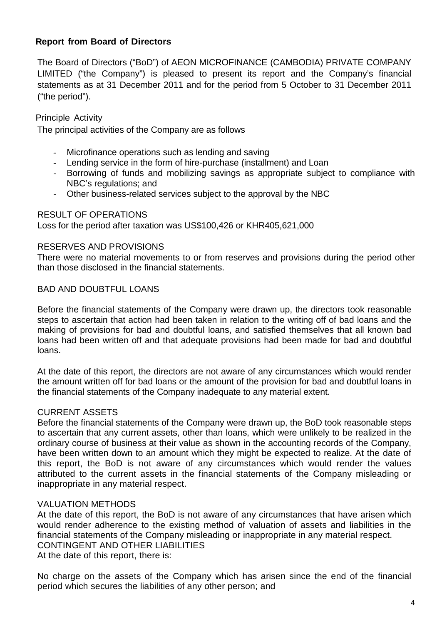#### **Report from Board of Directors**

The Board of Directors ("BoD") of AEON MICROFINANCE (CAMBODIA) PRIVATE COMPANY LIMITED ("the Company") is pleased to present its report and the Company's financial statements as at 31 December 2011 and for the period from 5 October to 31 December 2011 ("the period").

Principle Activity

The principal activities of the Company are as follows

- Microfinance operations such as lending and saving
- Lending service in the form of hire-purchase (installment) and Loan
- Borrowing of funds and mobilizing savings as appropriate subject to compliance with NBC's regulations; and
- Other business-related services subject to the approval by the NBC

#### RESULT OF OPERATIONS

Loss for the period after taxation was US\$100,426 or KHR405,621,000

#### RESERVES AND PROVISIONS

There were no material movements to or from reserves and provisions during the period other than those disclosed in the financial statements.

#### BAD AND DOUBTFUL LOANS

Before the financial statements of the Company were drawn up, the directors took reasonable steps to ascertain that action had been taken in relation to the writing off of bad loans and the making of provisions for bad and doubtful loans, and satisfied themselves that all known bad loans had been written off and that adequate provisions had been made for bad and doubtful loans.

At the date of this report, the directors are not aware of any circumstances which would render the amount written off for bad loans or the amount of the provision for bad and doubtful loans in the financial statements of the Company inadequate to any material extent.

#### CURRENT ASSETS

Before the financial statements of the Company were drawn up, the BoD took reasonable steps to ascertain that any current assets, other than loans, which were unlikely to be realized in the ordinary course of business at their value as shown in the accounting records of the Company, have been written down to an amount which they might be expected to realize. At the date of this report, the BoD is not aware of any circumstances which would render the values attributed to the current assets in the financial statements of the Company misleading or inappropriate in any material respect.

#### VALUATION METHODS

At the date of this report, the BoD is not aware of any circumstances that have arisen which would render adherence to the existing method of valuation of assets and liabilities in the financial statements of the Company misleading or inappropriate in any material respect. CONTINGENT AND OTHER LIABILITIES At the date of this report, there is:

No charge on the assets of the Company which has arisen since the end of the financial period which secures the liabilities of any other person; and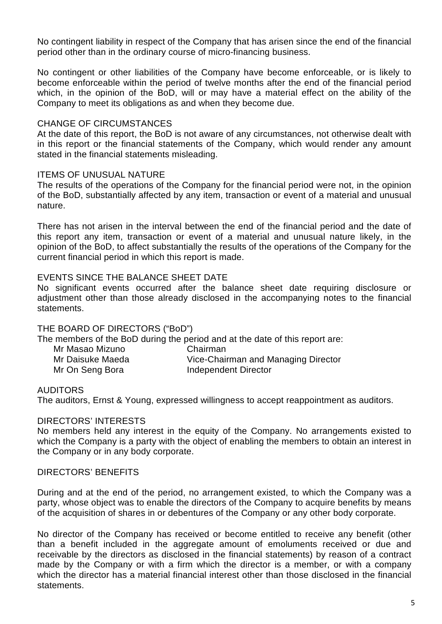No contingent liability in respect of the Company that has arisen since the end of the financial period other than in the ordinary course of micro-financing business.

No contingent or other liabilities of the Company have become enforceable, or is likely to become enforceable within the period of twelve months after the end of the financial period which, in the opinion of the BoD, will or may have a material effect on the ability of the Company to meet its obligations as and when they become due.

#### CHANGE OF CIRCUMSTANCES

At the date of this report, the BoD is not aware of any circumstances, not otherwise dealt with in this report or the financial statements of the Company, which would render any amount stated in the financial statements misleading.

#### ITEMS OF UNUSUAL NATURE

The results of the operations of the Company for the financial period were not, in the opinion of the BoD, substantially affected by any item, transaction or event of a material and unusual nature.

There has not arisen in the interval between the end of the financial period and the date of this report any item, transaction or event of a material and unusual nature likely, in the opinion of the BoD, to affect substantially the results of the operations of the Company for the current financial period in which this report is made.

#### EVENTS SINCE THE BALANCE SHEET DATE

No significant events occurred after the balance sheet date requiring disclosure or adjustment other than those already disclosed in the accompanying notes to the financial statements.

#### THE BOARD OF DIRECTORS ("BoD")

The members of the BoD during the period and at the date of this report are:

| Mr Masao Mizuno  | Chairman                            |
|------------------|-------------------------------------|
| Mr Daisuke Maeda | Vice-Chairman and Managing Director |
| Mr On Seng Bora  | Independent Director                |

#### AUDITORS

The auditors, Ernst & Young, expressed willingness to accept reappointment as auditors.

#### DIRECTORS' INTERESTS

No members held any interest in the equity of the Company. No arrangements existed to which the Company is a party with the object of enabling the members to obtain an interest in the Company or in any body corporate.

#### DIRECTORS' BENEFITS

During and at the end of the period, no arrangement existed, to which the Company was a party, whose object was to enable the directors of the Company to acquire benefits by means of the acquisition of shares in or debentures of the Company or any other body corporate.

No director of the Company has received or become entitled to receive any benefit (other than a benefit included in the aggregate amount of emoluments received or due and receivable by the directors as disclosed in the financial statements) by reason of a contract made by the Company or with a firm which the director is a member, or with a company which the director has a material financial interest other than those disclosed in the financial statements.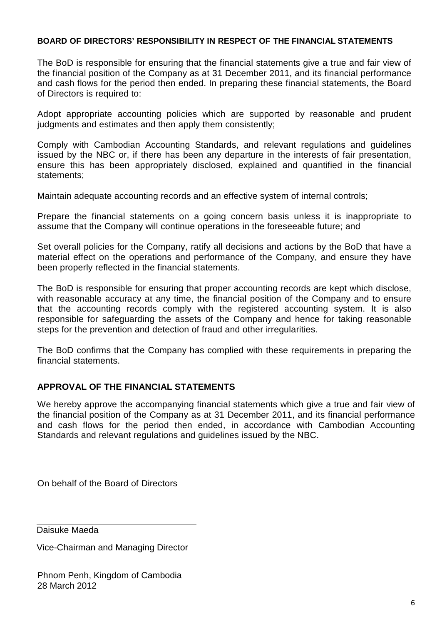#### **BOARD OF DIRECTORS' RESPONSIBILITY IN RESPECT OF THE FINANCIAL STATEMENTS**

The BoD is responsible for ensuring that the financial statements give a true and fair view of the financial position of the Company as at 31 December 2011, and its financial performance and cash flows for the period then ended. In preparing these financial statements, the Board of Directors is required to:

Adopt appropriate accounting policies which are supported by reasonable and prudent judgments and estimates and then apply them consistently;

Comply with Cambodian Accounting Standards, and relevant regulations and guidelines issued by the NBC or, if there has been any departure in the interests of fair presentation, ensure this has been appropriately disclosed, explained and quantified in the financial statements;

Maintain adequate accounting records and an effective system of internal controls;

Prepare the financial statements on a going concern basis unless it is inappropriate to assume that the Company will continue operations in the foreseeable future; and

Set overall policies for the Company, ratify all decisions and actions by the BoD that have a material effect on the operations and performance of the Company, and ensure they have been properly reflected in the financial statements.

The BoD is responsible for ensuring that proper accounting records are kept which disclose, with reasonable accuracy at any time, the financial position of the Company and to ensure that the accounting records comply with the registered accounting system. It is also responsible for safeguarding the assets of the Company and hence for taking reasonable steps for the prevention and detection of fraud and other irregularities.

The BoD confirms that the Company has complied with these requirements in preparing the financial statements.

#### **APPROVAL OF THE FINANCIAL STATEMENTS**

We hereby approve the accompanying financial statements which give a true and fair view of the financial position of the Company as at 31 December 2011, and its financial performance and cash flows for the period then ended, in accordance with Cambodian Accounting Standards and relevant regulations and guidelines issued by the NBC.

On behalf of the Board of Directors

Daisuke Maeda

Vice-Chairman and Managing Director

Phnom Penh, Kingdom of Cambodia 28 March 2012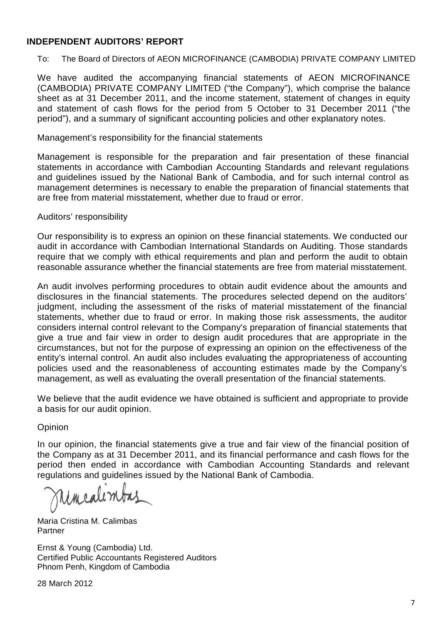#### **INDEPENDENT AUDITORS' REPORT**

#### To: The Board of Directors of AEON MICROFINANCE (CAMBODIA) PRIVATE COMPANY LIMITED

We have audited the accompanying financial statements of AEON MICROFINANCE (CAMBODIA) PRIVATE COMPANY LIMITED ("the Company"), which comprise the balance sheet as at 31 December 2011, and the income statement, statement of changes in equity and statement of cash flows for the period from 5 October to 31 December 2011 ("the period"), and a summary of significant accounting policies and other explanatory notes.

#### Management's responsibility for the financial statements

Management is responsible for the preparation and fair presentation of these financial statements in accordance with Cambodian Accounting Standards and relevant regulations and guidelines issued by the National Bank of Cambodia, and for such internal control as management determines is necessary to enable the preparation of financial statements that are free from material misstatement, whether due to fraud or error.

#### Auditors' responsibility

Our responsibility is to express an opinion on these financial statements. We conducted our audit in accordance with Cambodian International Standards on Auditing. Those standards require that we comply with ethical requirements and plan and perform the audit to obtain reasonable assurance whether the financial statements are free from material misstatement.

An audit involves performing procedures to obtain audit evidence about the amounts and disclosures in the financial statements. The procedures selected depend on the auditors' judgment, including the assessment of the risks of material misstatement of the financial statements, whether due to fraud or error. In making those risk assessments, the auditor considers internal control relevant to the Company's preparation of financial statements that give a true and fair view in order to design audit procedures that are appropriate in the circumstances, but not for the purpose of expressing an opinion on the effectiveness of the entity's internal control. An audit also includes evaluating the appropriateness of accounting policies used and the reasonableness of accounting estimates made by the Company's management, as well as evaluating the overall presentation of the financial statements.

We believe that the audit evidence we have obtained is sufficient and appropriate to provide a basis for our audit opinion.

#### Opinion

In our opinion, the financial statements give a true and fair view of the financial position of the Company as at 31 December 2011, and its financial performance and cash flows for the period then ended in accordance with Cambodian Accounting Standards and relevant regulations and guidelines issued by the National Bank of Cambodia.

incale

Maria Cristina M. Calimbas **Partner** 

Ernst & Young (Cambodia) Ltd. Certified Public Accountants Registered Auditors Phnom Penh, Kingdom of Cambodia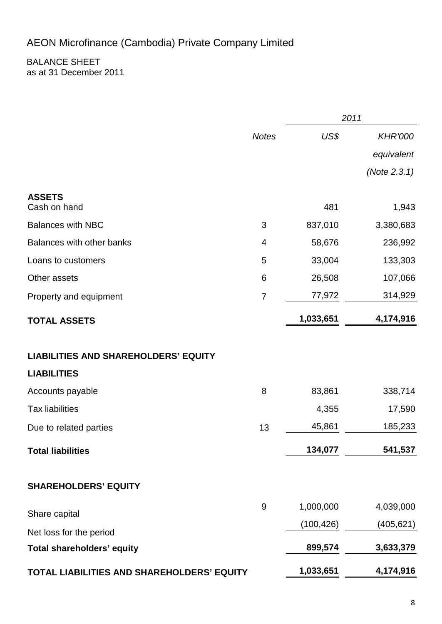BALANCE SHEET as at 31 December 2011

|                                             | <b>Notes</b>   | 2011       |                |
|---------------------------------------------|----------------|------------|----------------|
|                                             |                | US\$       | <b>KHR'000</b> |
|                                             |                |            | equivalent     |
|                                             |                |            | (Note 2.3.1)   |
| <b>ASSETS</b><br>Cash on hand               |                | 481        | 1,943          |
| <b>Balances with NBC</b>                    | 3              | 837,010    | 3,380,683      |
| Balances with other banks                   | 4              | 58,676     | 236,992        |
| Loans to customers                          | 5              | 33,004     | 133,303        |
| Other assets                                | 6              | 26,508     | 107,066        |
| Property and equipment                      | $\overline{7}$ | 77,972     | 314,929        |
| <b>TOTAL ASSETS</b>                         |                | 1,033,651  | 4,174,916      |
| <b>LIABILITIES AND SHAREHOLDERS' EQUITY</b> |                |            |                |
| <b>LIABILITIES</b>                          |                |            |                |
| Accounts payable                            | 8              | 83,861     | 338,714        |
| <b>Tax liabilities</b>                      |                | 4,355      | 17,590         |
| Due to related parties                      | 13             | 45,861     | 185,233        |
| <b>Total liabilities</b>                    |                | 134,077    | 541,537        |
| <b>SHAREHOLDERS' EQUITY</b>                 |                |            |                |
| Share capital                               | $9\,$          | 1,000,000  | 4,039,000      |
| Net loss for the period                     |                | (100, 426) | (405, 621)     |
| <b>Total shareholders' equity</b>           |                | 899,574    | 3,633,379      |
| TOTAL LIABILITIES AND SHAREHOLDERS' EQUITY  |                | 1,033,651  | 4,174,916      |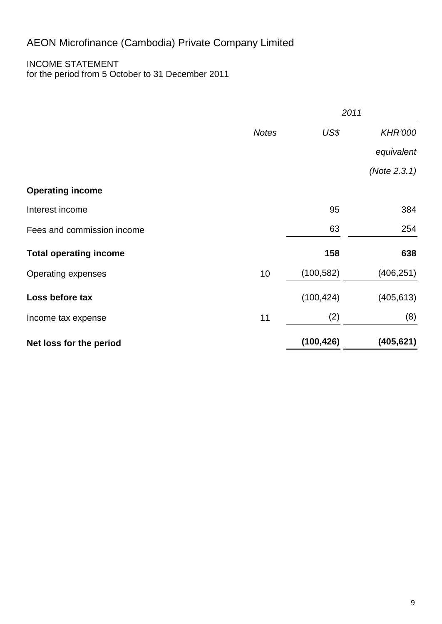#### INCOME STATEMENT for the period from 5 October to 31 December 2011

|                               |              | 2011       |                |
|-------------------------------|--------------|------------|----------------|
|                               | <b>Notes</b> | US\$       | <b>KHR'000</b> |
|                               |              |            | equivalent     |
|                               |              |            | (Note 2.3.1)   |
| <b>Operating income</b>       |              |            |                |
| Interest income               |              | 95         | 384            |
| Fees and commission income    |              | 63         | 254            |
| <b>Total operating income</b> |              | 158        | 638            |
| <b>Operating expenses</b>     | 10           | (100, 582) | (406, 251)     |
| Loss before tax               |              | (100, 424) | (405, 613)     |
| Income tax expense            | 11           | (2)        | (8)            |
| Net loss for the period       |              | (100, 426) | (405, 621)     |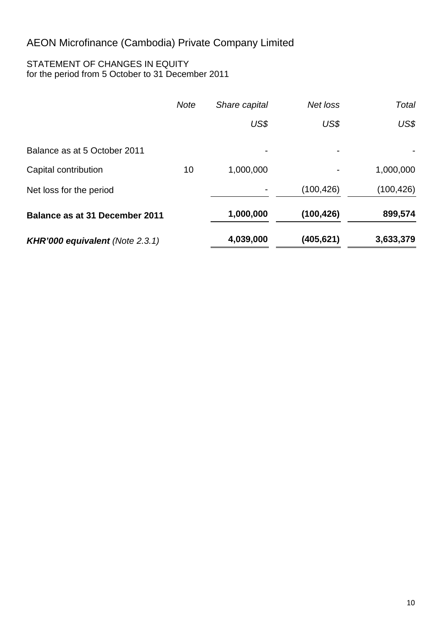#### STATEMENT OF CHANGES IN EQUITY for the period from 5 October to 31 December 2011

|                                        | <b>Note</b> | Share capital | Net loss                 | Total      |
|----------------------------------------|-------------|---------------|--------------------------|------------|
|                                        |             | US\$          | US\$                     | US\$       |
| Balance as at 5 October 2011           |             |               | $\overline{\phantom{a}}$ |            |
| Capital contribution                   | 10          | 1,000,000     |                          | 1,000,000  |
| Net loss for the period                |             |               | (100, 426)               | (100, 426) |
| <b>Balance as at 31 December 2011</b>  |             | 1,000,000     | (100, 426)               | 899,574    |
| <b>KHR'000 equivalent (Note 2.3.1)</b> |             | 4,039,000     | (405,621)                | 3,633,379  |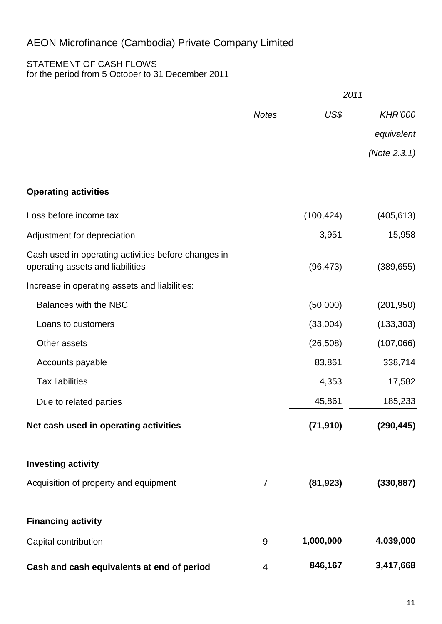#### STATEMENT OF CASH FLOWS for the period from 5 October to 31 December 2011

|                                                                                         |              | 2011       |                |
|-----------------------------------------------------------------------------------------|--------------|------------|----------------|
|                                                                                         | <b>Notes</b> | US\$       | <b>KHR'000</b> |
|                                                                                         |              |            | equivalent     |
|                                                                                         |              |            | (Note 2.3.1)   |
| <b>Operating activities</b>                                                             |              |            |                |
| Loss before income tax                                                                  |              | (100, 424) | (405, 613)     |
| Adjustment for depreciation                                                             |              | 3,951      | 15,958         |
| Cash used in operating activities before changes in<br>operating assets and liabilities |              | (96, 473)  | (389, 655)     |
| Increase in operating assets and liabilities:                                           |              |            |                |
| Balances with the NBC                                                                   |              | (50,000)   | (201, 950)     |
| Loans to customers                                                                      |              | (33,004)   | (133, 303)     |
| Other assets                                                                            |              | (26, 508)  | (107,066)      |
| Accounts payable                                                                        |              | 83,861     | 338,714        |
| <b>Tax liabilities</b>                                                                  |              | 4,353      | 17,582         |
| Due to related parties                                                                  |              | 45,861     | 185,233        |
| Net cash used in operating activities                                                   |              | (71, 910)  | (290, 445)     |
| <b>Investing activity</b>                                                               |              |            |                |
| Acquisition of property and equipment                                                   | 7            | (81, 923)  | (330, 887)     |
| <b>Financing activity</b>                                                               |              |            |                |
| Capital contribution                                                                    | 9            | 1,000,000  | 4,039,000      |
| Cash and cash equivalents at end of period                                              | 4            | 846,167    | 3,417,668      |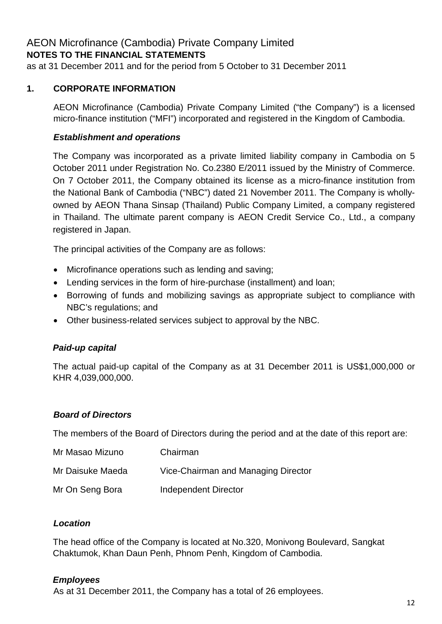### AEON Microfinance (Cambodia) Private Company Limited **NOTES TO THE FINANCIAL STATEMENTS**

as at 31 December 2011 and for the period from 5 October to 31 December 2011

#### **1. CORPORATE INFORMATION**

AEON Microfinance (Cambodia) Private Company Limited ("the Company") is a licensed micro-finance institution ("MFI") incorporated and registered in the Kingdom of Cambodia.

#### *Establishment and operations*

The Company was incorporated as a private limited liability company in Cambodia on 5 October 2011 under Registration No. Co.2380 E/2011 issued by the Ministry of Commerce. On 7 October 2011, the Company obtained its license as a micro-finance institution from the National Bank of Cambodia ("NBC") dated 21 November 2011. The Company is whollyowned by AEON Thana Sinsap (Thailand) Public Company Limited, a company registered in Thailand. The ultimate parent company is AEON Credit Service Co., Ltd., a company registered in Japan.

The principal activities of the Company are as follows:

- Microfinance operations such as lending and saving;
- Lending services in the form of hire-purchase (installment) and loan;
- Borrowing of funds and mobilizing savings as appropriate subject to compliance with NBC's regulations; and
- Other business-related services subject to approval by the NBC.

#### *Paid-up capital*

The actual paid-up capital of the Company as at 31 December 2011 is US\$1,000,000 or KHR 4,039,000,000.

#### *Board of Directors*

The members of the Board of Directors during the period and at the date of this report are:

| Mr Masao Mizuno  | Chairman                            |
|------------------|-------------------------------------|
| Mr Daisuke Maeda | Vice-Chairman and Managing Director |
| Mr On Seng Bora  | <b>Independent Director</b>         |

#### *Location*

The head office of the Company is located at No.320, Monivong Boulevard, Sangkat Chaktumok, Khan Daun Penh, Phnom Penh, Kingdom of Cambodia.

#### *Employees*

As at 31 December 2011, the Company has a total of 26 employees.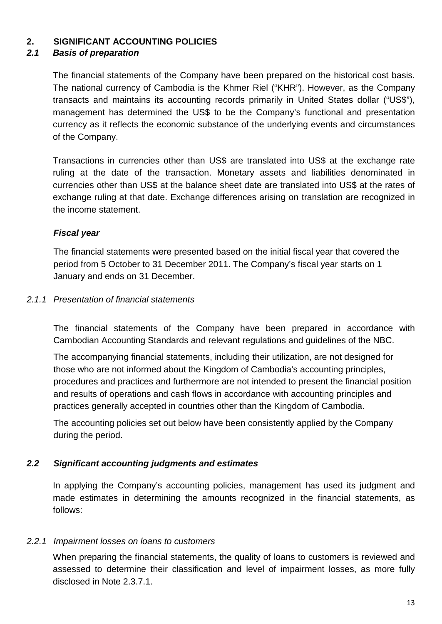#### **2. SIGNIFICANT ACCOUNTING POLICIES**

#### *2.1 Basis of preparation*

The financial statements of the Company have been prepared on the historical cost basis. The national currency of Cambodia is the Khmer Riel ("KHR"). However, as the Company transacts and maintains its accounting records primarily in United States dollar ("US\$"), management has determined the US\$ to be the Company's functional and presentation currency as it reflects the economic substance of the underlying events and circumstances of the Company.

Transactions in currencies other than US\$ are translated into US\$ at the exchange rate ruling at the date of the transaction. Monetary assets and liabilities denominated in currencies other than US\$ at the balance sheet date are translated into US\$ at the rates of exchange ruling at that date. Exchange differences arising on translation are recognized in the income statement.

#### *Fiscal year*

The financial statements were presented based on the initial fiscal year that covered the period from 5 October to 31 December 2011. The Company's fiscal year starts on 1 January and ends on 31 December.

#### *2.1.1 Presentation of financial statements*

The financial statements of the Company have been prepared in accordance with Cambodian Accounting Standards and relevant regulations and guidelines of the NBC.

The accompanying financial statements, including their utilization, are not designed for those who are not informed about the Kingdom of Cambodia's accounting principles, procedures and practices and furthermore are not intended to present the financial position and results of operations and cash flows in accordance with accounting principles and practices generally accepted in countries other than the Kingdom of Cambodia.

The accounting policies set out below have been consistently applied by the Company during the period.

#### *2.2 Significant accounting judgments and estimates*

In applying the Company's accounting policies, management has used its judgment and made estimates in determining the amounts recognized in the financial statements, as follows:

#### *2.2.1 Impairment losses on loans to customers*

When preparing the financial statements, the quality of loans to customers is reviewed and assessed to determine their classification and level of impairment losses, as more fully disclosed in Note 2.3.7.1.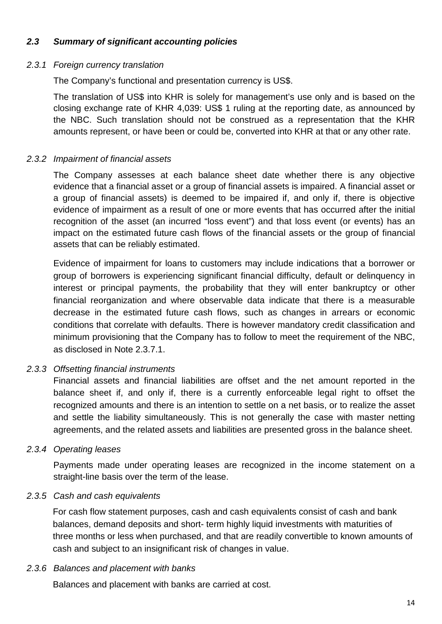#### *2.3 Summary of significant accounting policies*

#### *2.3.1 Foreign currency translation*

The Company's functional and presentation currency is US\$.

The translation of US\$ into KHR is solely for management's use only and is based on the closing exchange rate of KHR 4,039: US\$ 1 ruling at the reporting date, as announced by the NBC. Such translation should not be construed as a representation that the KHR amounts represent, or have been or could be, converted into KHR at that or any other rate.

#### *2.3.2 Impairment of financial assets*

The Company assesses at each balance sheet date whether there is any objective evidence that a financial asset or a group of financial assets is impaired. A financial asset or a group of financial assets) is deemed to be impaired if, and only if, there is objective evidence of impairment as a result of one or more events that has occurred after the initial recognition of the asset (an incurred "loss event") and that loss event (or events) has an impact on the estimated future cash flows of the financial assets or the group of financial assets that can be reliably estimated.

Evidence of impairment for loans to customers may include indications that a borrower or group of borrowers is experiencing significant financial difficulty, default or delinquency in interest or principal payments, the probability that they will enter bankruptcy or other financial reorganization and where observable data indicate that there is a measurable decrease in the estimated future cash flows, such as changes in arrears or economic conditions that correlate with defaults. There is however mandatory credit classification and minimum provisioning that the Company has to follow to meet the requirement of the NBC, as disclosed in Note 2.3.7.1.

#### *2.3.3 Offsetting financial instruments*

Financial assets and financial liabilities are offset and the net amount reported in the balance sheet if, and only if, there is a currently enforceable legal right to offset the recognized amounts and there is an intention to settle on a net basis, or to realize the asset and settle the liability simultaneously. This is not generally the case with master netting agreements, and the related assets and liabilities are presented gross in the balance sheet.

#### *2.3.4 Operating leases*

Payments made under operating leases are recognized in the income statement on a straight-line basis over the term of the lease.

#### *2.3.5 Cash and cash equivalents*

For cash flow statement purposes, cash and cash equivalents consist of cash and bank balances, demand deposits and short- term highly liquid investments with maturities of three months or less when purchased, and that are readily convertible to known amounts of cash and subject to an insignificant risk of changes in value.

#### *2.3.6 Balances and placement with banks*

Balances and placement with banks are carried at cost.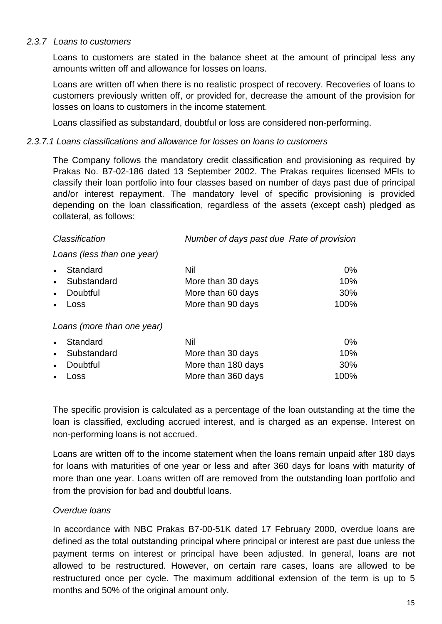#### *2.3.7 Loans to customers*

Loans to customers are stated in the balance sheet at the amount of principal less any amounts written off and allowance for losses on loans.

Loans are written off when there is no realistic prospect of recovery. Recoveries of loans to customers previously written off, or provided for, decrease the amount of the provision for losses on loans to customers in the income statement.

Loans classified as substandard, doubtful or loss are considered non-performing.

#### *2.3.7.1 Loans classifications and allowance for losses on loans to customers*

The Company follows the mandatory credit classification and provisioning as required by Prakas No. B7-02-186 dated 13 September 2002. The Prakas requires licensed MFIs to classify their loan portfolio into four classes based on number of days past due of principal and/or interest repayment. The mandatory level of specific provisioning is provided depending on the loan classification, regardless of the assets (except cash) pledged as collateral, as follows:

| Classification             | Number of days past due Rate of provision |       |
|----------------------------|-------------------------------------------|-------|
| Loans (less than one year) |                                           |       |
| Standard<br>$\bullet$      | Nil                                       | $0\%$ |
| Substandard<br>$\bullet$   | More than 30 days                         | 10%   |
| Doubtful<br>$\bullet$      | More than 60 days                         | 30%   |
| Loss<br>٠                  | More than 90 days                         | 100%  |
| Loans (more than one year) |                                           |       |
| Standard<br>$\bullet$      | Nil                                       | $0\%$ |
| Substandard<br>$\bullet$   | More than 30 days                         | 10%   |
| Doubtful<br>$\bullet$      | More than 180 days                        | 30%   |

**Loss Example 2018** More than 360 days **100%** 

The specific provision is calculated as a percentage of the loan outstanding at the time the loan is classified, excluding accrued interest, and is charged as an expense. Interest on non-performing loans is not accrued.

Loans are written off to the income statement when the loans remain unpaid after 180 days for loans with maturities of one year or less and after 360 days for loans with maturity of more than one year. Loans written off are removed from the outstanding loan portfolio and from the provision for bad and doubtful loans.

#### *Overdue loans*

In accordance with NBC Prakas B7-00-51K dated 17 February 2000, overdue loans are defined as the total outstanding principal where principal or interest are past due unless the payment terms on interest or principal have been adjusted. In general, loans are not allowed to be restructured. However, on certain rare cases, loans are allowed to be restructured once per cycle. The maximum additional extension of the term is up to 5 months and 50% of the original amount only.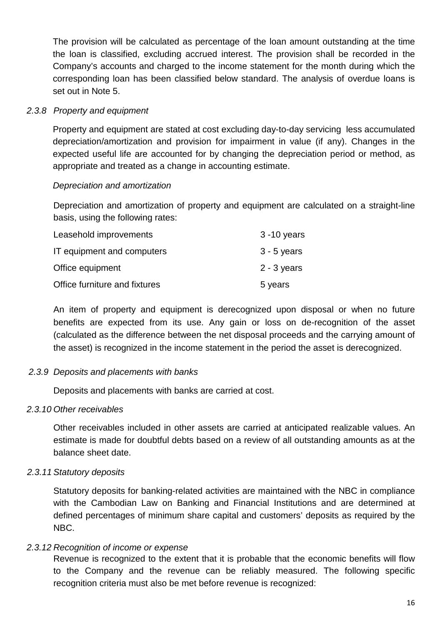The provision will be calculated as percentage of the loan amount outstanding at the time the loan is classified, excluding accrued interest. The provision shall be recorded in the Company's accounts and charged to the income statement for the month during which the corresponding loan has been classified below standard. The analysis of overdue loans is set out in Note 5.

#### *2.3.8 Property and equipment*

Property and equipment are stated at cost excluding day-to-day servicing less accumulated depreciation/amortization and provision for impairment in value (if any). Changes in the expected useful life are accounted for by changing the depreciation period or method, as appropriate and treated as a change in accounting estimate.

#### *Depreciation and amortization*

Depreciation and amortization of property and equipment are calculated on a straight-line basis, using the following rates:

| Leasehold improvements        | $3 - 10$ years |
|-------------------------------|----------------|
| IT equipment and computers    | $3 - 5$ years  |
| Office equipment              | $2 - 3$ years  |
| Office furniture and fixtures | 5 years        |

An item of property and equipment is derecognized upon disposal or when no future benefits are expected from its use. Any gain or loss on de-recognition of the asset (calculated as the difference between the net disposal proceeds and the carrying amount of the asset) is recognized in the income statement in the period the asset is derecognized.

#### *2.3.9 Deposits and placements with banks*

Deposits and placements with banks are carried at cost.

#### *2.3.10 Other receivables*

Other receivables included in other assets are carried at anticipated realizable values. An estimate is made for doubtful debts based on a review of all outstanding amounts as at the balance sheet date.

#### *2.3.11 Statutory deposits*

Statutory deposits for banking-related activities are maintained with the NBC in compliance with the Cambodian Law on Banking and Financial Institutions and are determined at defined percentages of minimum share capital and customers' deposits as required by the NBC.

#### *2.3.12 Recognition of income or expense*

Revenue is recognized to the extent that it is probable that the economic benefits will flow to the Company and the revenue can be reliably measured. The following specific recognition criteria must also be met before revenue is recognized: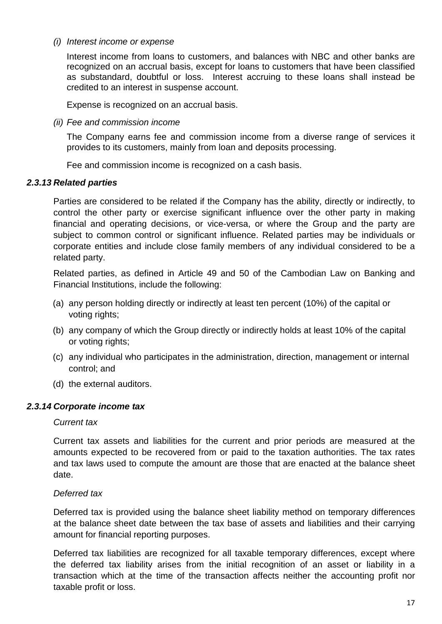#### *(i) Interest income or expense*

Interest income from loans to customers, and balances with NBC and other banks are recognized on an accrual basis, except for loans to customers that have been classified as substandard, doubtful or loss. Interest accruing to these loans shall instead be credited to an interest in suspense account.

Expense is recognized on an accrual basis.

*(ii) Fee and commission income*

The Company earns fee and commission income from a diverse range of services it provides to its customers, mainly from loan and deposits processing.

Fee and commission income is recognized on a cash basis.

#### *2.3.13 Related parties*

Parties are considered to be related if the Company has the ability, directly or indirectly, to control the other party or exercise significant influence over the other party in making financial and operating decisions, or vice-versa, or where the Group and the party are subject to common control or significant influence. Related parties may be individuals or corporate entities and include close family members of any individual considered to be a related party.

Related parties, as defined in Article 49 and 50 of the Cambodian Law on Banking and Financial Institutions, include the following:

- (a) any person holding directly or indirectly at least ten percent (10%) of the capital or voting rights;
- (b) any company of which the Group directly or indirectly holds at least 10% of the capital or voting rights;
- (c) any individual who participates in the administration, direction, management or internal control; and
- (d) the external auditors.

#### *2.3.14 Corporate income tax*

#### *Current tax*

Current tax assets and liabilities for the current and prior periods are measured at the amounts expected to be recovered from or paid to the taxation authorities. The tax rates and tax laws used to compute the amount are those that are enacted at the balance sheet date.

#### *Deferred tax*

Deferred tax is provided using the balance sheet liability method on temporary differences at the balance sheet date between the tax base of assets and liabilities and their carrying amount for financial reporting purposes.

Deferred tax liabilities are recognized for all taxable temporary differences, except where the deferred tax liability arises from the initial recognition of an asset or liability in a transaction which at the time of the transaction affects neither the accounting profit nor taxable profit or loss.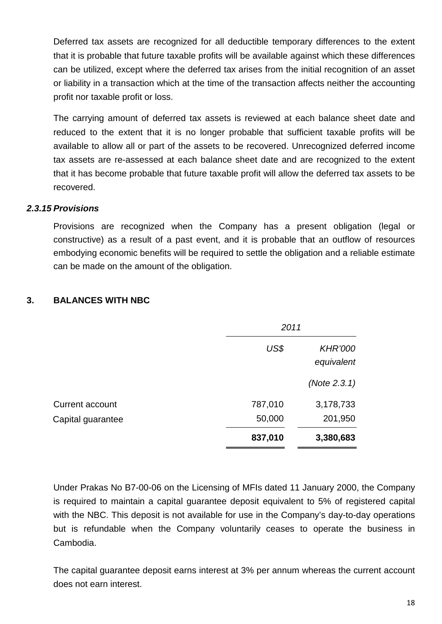Deferred tax assets are recognized for all deductible temporary differences to the extent that it is probable that future taxable profits will be available against which these differences can be utilized, except where the deferred tax arises from the initial recognition of an asset or liability in a transaction which at the time of the transaction affects neither the accounting profit nor taxable profit or loss.

The carrying amount of deferred tax assets is reviewed at each balance sheet date and reduced to the extent that it is no longer probable that sufficient taxable profits will be available to allow all or part of the assets to be recovered. Unrecognized deferred income tax assets are re-assessed at each balance sheet date and are recognized to the extent that it has become probable that future taxable profit will allow the deferred tax assets to be recovered.

#### *2.3.15 Provisions*

Provisions are recognized when the Company has a present obligation (legal or constructive) as a result of a past event, and it is probable that an outflow of resources embodying economic benefits will be required to settle the obligation and a reliable estimate can be made on the amount of the obligation.

#### **3. BALANCES WITH NBC**

|                   | 2011    |                              |
|-------------------|---------|------------------------------|
|                   | US\$    | <b>KHR'000</b><br>equivalent |
|                   |         | (Note $2.3.1$ )              |
| Current account   | 787,010 | 3,178,733                    |
| Capital guarantee | 50,000  | 201,950                      |
|                   | 837,010 | 3,380,683                    |

Under Prakas No B7-00-06 on the Licensing of MFIs dated 11 January 2000, the Company is required to maintain a capital guarantee deposit equivalent to 5% of registered capital with the NBC. This deposit is not available for use in the Company's day-to-day operations but is refundable when the Company voluntarily ceases to operate the business in Cambodia.

The capital guarantee deposit earns interest at 3% per annum whereas the current account does not earn interest.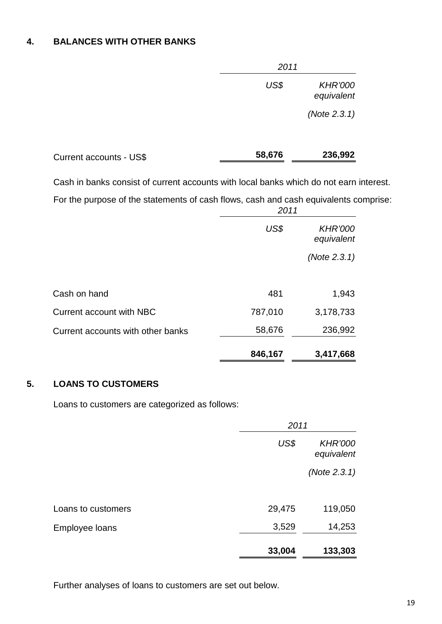#### **4. BALANCES WITH OTHER BANKS**

|                         | 2011   |                              |
|-------------------------|--------|------------------------------|
|                         | US\$   | <b>KHR'000</b><br>equivalent |
|                         |        | (Note 2.3.1)                 |
| Current accounts - US\$ | 58,676 | 236,992                      |

Cash in banks consist of current accounts with local banks which do not earn interest.

For the purpose of the statements of cash flows, cash and cash equivalents comprise:

|                                   | 2011    |                              |  |
|-----------------------------------|---------|------------------------------|--|
|                                   | US\$    | <b>KHR'000</b><br>equivalent |  |
|                                   |         | (Note $2.3.1$ )              |  |
| Cash on hand                      | 481     | 1,943                        |  |
| <b>Current account with NBC</b>   | 787,010 | 3,178,733                    |  |
| Current accounts with other banks | 58,676  | 236,992                      |  |
|                                   | 846,167 | 3,417,668                    |  |

#### **5. LOANS TO CUSTOMERS**

Loans to customers are categorized as follows:

|                    |        | 2011                         |  |  |
|--------------------|--------|------------------------------|--|--|
|                    | US\$   | <b>KHR'000</b><br>equivalent |  |  |
|                    |        | (Note 2.3.1)                 |  |  |
| Loans to customers | 29,475 | 119,050                      |  |  |
| Employee loans     | 3,529  | 14,253                       |  |  |
|                    | 33,004 | 133,303                      |  |  |

Further analyses of loans to customers are set out below.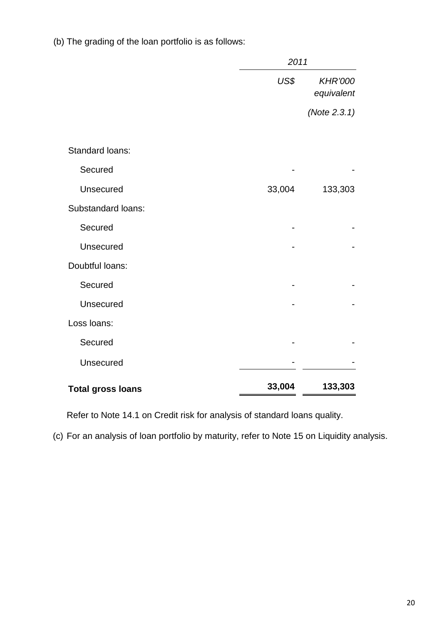|                          |        | 2011                         |  |  |
|--------------------------|--------|------------------------------|--|--|
|                          | US\$   | <b>KHR'000</b><br>equivalent |  |  |
|                          |        | (Note 2.3.1)                 |  |  |
|                          |        |                              |  |  |
| Standard loans:          |        |                              |  |  |
| Secured                  |        |                              |  |  |
| Unsecured                | 33,004 | 133,303                      |  |  |
| Substandard loans:       |        |                              |  |  |
| Secured                  |        |                              |  |  |
| Unsecured                |        |                              |  |  |
| Doubtful loans:          |        |                              |  |  |
| Secured                  |        |                              |  |  |
| Unsecured                |        |                              |  |  |
| Loss loans:              |        |                              |  |  |
| Secured                  |        |                              |  |  |
| Unsecured                |        |                              |  |  |
| <b>Total gross loans</b> | 33,004 | 133,303                      |  |  |

(b) The grading of the loan portfolio is as follows:

Refer to Note 14.1 on Credit risk for analysis of standard loans quality.

(c) For an analysis of loan portfolio by maturity, refer to Note 15 on Liquidity analysis.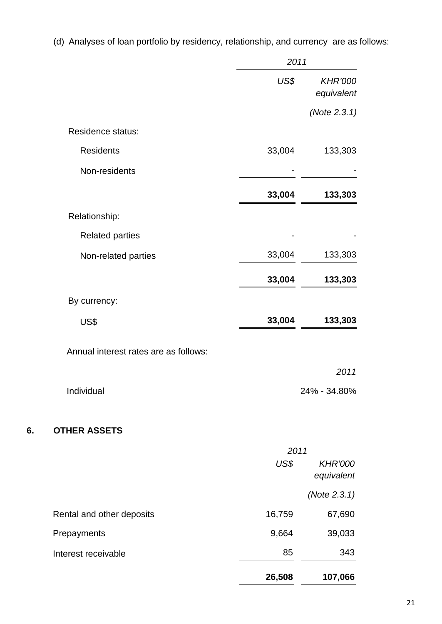|                                       | 2011   |                              |  |
|---------------------------------------|--------|------------------------------|--|
|                                       | US\$   | <b>KHR'000</b><br>equivalent |  |
|                                       |        | (Note 2.3.1)                 |  |
| Residence status:                     |        |                              |  |
| <b>Residents</b>                      | 33,004 | 133,303                      |  |
| Non-residents                         |        |                              |  |
|                                       | 33,004 | 133,303                      |  |
| Relationship:                         |        |                              |  |
| <b>Related parties</b>                |        |                              |  |
| Non-related parties                   | 33,004 | 133,303                      |  |
|                                       | 33,004 | 133,303                      |  |
| By currency:                          |        |                              |  |
| US\$                                  | 33,004 | 133,303                      |  |
| Annual interest rates are as follows: |        |                              |  |
|                                       |        | 2011                         |  |
| Individual                            |        | 24% - 34.80%                 |  |

(d) Analyses of loan portfolio by residency, relationship, and currency are as follows:

## **6. OTHER ASSETS**

|                           | 2011   |                              |
|---------------------------|--------|------------------------------|
|                           | US\$   | <b>KHR'000</b><br>equivalent |
|                           |        | (Note 2.3.1)                 |
| Rental and other deposits | 16,759 | 67,690                       |
| Prepayments               | 9,664  | 39,033                       |
| Interest receivable       | 85     | 343                          |
|                           | 26,508 | 107,066                      |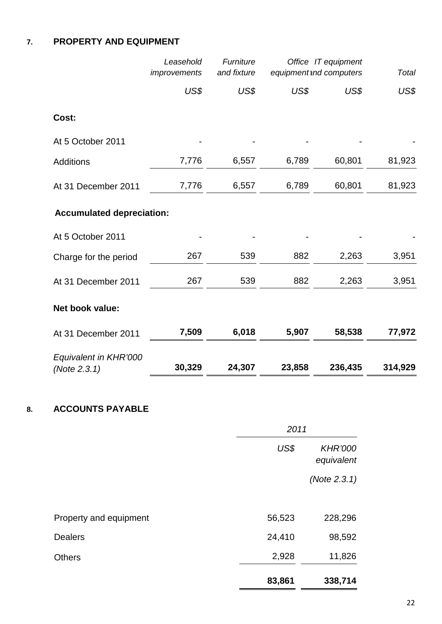## **7. PROPERTY AND EQUIPMENT**

|                                       | Leasehold<br>improvements        | Furniture<br>and fixture |        | Office IT equipment<br>equipmentand computers | Total   |  |  |  |
|---------------------------------------|----------------------------------|--------------------------|--------|-----------------------------------------------|---------|--|--|--|
|                                       | US\$                             | US\$                     | US\$   | US\$                                          | US\$    |  |  |  |
| Cost:                                 |                                  |                          |        |                                               |         |  |  |  |
| At 5 October 2011                     |                                  |                          |        |                                               |         |  |  |  |
| <b>Additions</b>                      | 7,776                            | 6,557                    | 6,789  | 60,801                                        | 81,923  |  |  |  |
| At 31 December 2011                   | 7,776                            | 6,557                    | 6,789  | 60,801                                        | 81,923  |  |  |  |
|                                       | <b>Accumulated depreciation:</b> |                          |        |                                               |         |  |  |  |
| At 5 October 2011                     |                                  |                          |        |                                               |         |  |  |  |
| Charge for the period                 | 267                              | 539                      | 882    | 2,263                                         | 3,951   |  |  |  |
| At 31 December 2011                   | 267                              | 539                      | 882    | 2,263                                         | 3,951   |  |  |  |
| Net book value:                       |                                  |                          |        |                                               |         |  |  |  |
| At 31 December 2011                   | 7,509                            | 6,018                    | 5,907  | 58,538                                        | 77,972  |  |  |  |
| Equivalent in KHR'000<br>(Note 2.3.1) | 30,329                           | 24,307                   | 23,858 | 236,435                                       | 314,929 |  |  |  |

## **8. ACCOUNTS PAYABLE**

|                        | 2011   |                              |  |
|------------------------|--------|------------------------------|--|
|                        | US\$   | <b>KHR'000</b><br>equivalent |  |
|                        |        | (Note 2.3.1)                 |  |
| Property and equipment | 56,523 | 228,296                      |  |
| <b>Dealers</b>         | 24,410 | 98,592                       |  |
| Others                 | 2,928  | 11,826                       |  |
|                        | 83,861 | 338,714                      |  |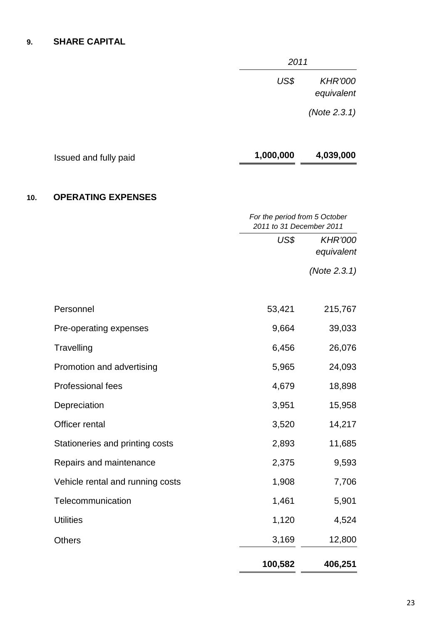#### **9. SHARE CAPITAL**

|     |                                  | 2011                                                      |                              |  |
|-----|----------------------------------|-----------------------------------------------------------|------------------------------|--|
|     |                                  | US\$                                                      | <b>KHR'000</b><br>equivalent |  |
|     |                                  |                                                           | (Note 2.3.1)                 |  |
|     | Issued and fully paid            | 1,000,000                                                 | 4,039,000                    |  |
| 10. | <b>OPERATING EXPENSES</b>        |                                                           |                              |  |
|     |                                  | For the period from 5 October<br>2011 to 31 December 2011 |                              |  |
|     |                                  | US\$                                                      | <b>KHR'000</b><br>equivalent |  |
|     |                                  |                                                           | (Note 2.3.1)                 |  |
|     | Personnel                        | 53,421                                                    | 215,767                      |  |
|     | Pre-operating expenses           | 9,664                                                     | 39,033                       |  |
|     | Travelling                       | 6,456                                                     | 26,076                       |  |
|     | Promotion and advertising        | 5,965                                                     | 24,093                       |  |
|     | Professional fees                | 4,679                                                     | 18,898                       |  |
|     | Depreciation                     | 3,951                                                     | 15,958                       |  |
|     | Officer rental                   | 3,520                                                     | 14,217                       |  |
|     | Stationeries and printing costs  | 2,893                                                     | 11,685                       |  |
|     | Repairs and maintenance          | 2,375                                                     | 9,593                        |  |
|     | Vehicle rental and running costs | 1,908                                                     | 7,706                        |  |
|     | Telecommunication                | 1,461                                                     | 5,901                        |  |
|     | <b>Utilities</b>                 | 1,120                                                     | 4,524                        |  |
|     | <b>Others</b>                    | 3,169                                                     | 12,800                       |  |
|     |                                  | 100,582                                                   | 406,251                      |  |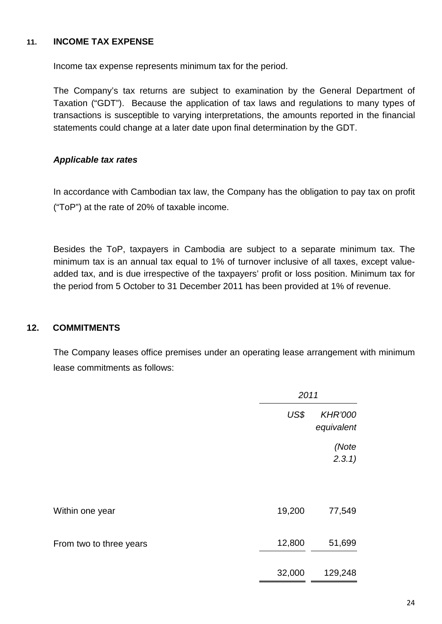#### **11. INCOME TAX EXPENSE**

Income tax expense represents minimum tax for the period.

The Company's tax returns are subject to examination by the General Department of Taxation ("GDT"). Because the application of tax laws and regulations to many types of transactions is susceptible to varying interpretations, the amounts reported in the financial statements could change at a later date upon final determination by the GDT.

#### *Applicable tax rates*

In accordance with Cambodian tax law, the Company has the obligation to pay tax on profit ("ToP") at the rate of 20% of taxable income.

Besides the ToP, taxpayers in Cambodia are subject to a separate minimum tax. The minimum tax is an annual tax equal to 1% of turnover inclusive of all taxes, except valueadded tax, and is due irrespective of the taxpayers' profit or loss position. Minimum tax for the period from 5 October to 31 December 2011 has been provided at 1% of revenue.

#### **12. COMMITMENTS**

The Company leases office premises under an operating lease arrangement with minimum lease commitments as follows:

|                         | 2011   |                              |
|-------------------------|--------|------------------------------|
|                         | US\$   | <b>KHR'000</b><br>equivalent |
|                         |        | (Note                        |
|                         |        | 2.3.1)                       |
| Within one year         | 19,200 | 77,549                       |
| From two to three years | 12,800 | 51,699                       |
|                         | 32,000 | 129,248                      |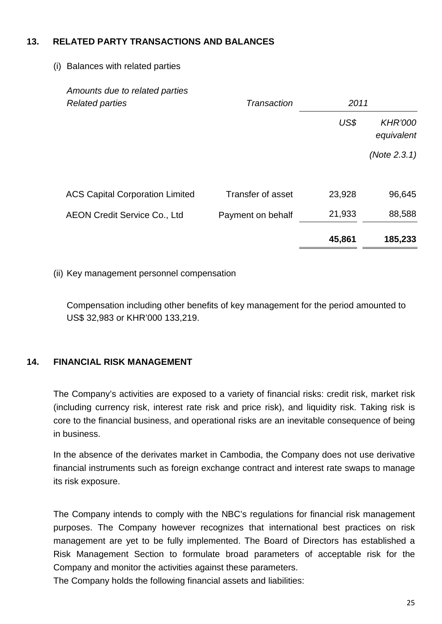#### **13. RELATED PARTY TRANSACTIONS AND BALANCES**

#### (i) Balances with related parties

| Amounts due to related parties<br><b>Related parties</b> | <b>Transaction</b>       | 2011   |                              |  |
|----------------------------------------------------------|--------------------------|--------|------------------------------|--|
|                                                          |                          | US\$   | <b>KHR'000</b><br>equivalent |  |
|                                                          |                          |        | (Note 2.3.1)                 |  |
| <b>ACS Capital Corporation Limited</b>                   | <b>Transfer of asset</b> | 23,928 | 96,645                       |  |
| <b>AEON Credit Service Co., Ltd</b>                      | Payment on behalf        | 21,933 | 88,588                       |  |
|                                                          |                          | 45,861 | 185,233                      |  |

(ii) Key management personnel compensation

Compensation including other benefits of key management for the period amounted to US\$ 32,983 or KHR'000 133,219.

#### **14. FINANCIAL RISK MANAGEMENT**

The Company's activities are exposed to a variety of financial risks: credit risk, market risk (including currency risk, interest rate risk and price risk), and liquidity risk. Taking risk is core to the financial business, and operational risks are an inevitable consequence of being in business.

In the absence of the derivates market in Cambodia, the Company does not use derivative financial instruments such as foreign exchange contract and interest rate swaps to manage its risk exposure.

The Company intends to comply with the NBC's regulations for financial risk management purposes. The Company however recognizes that international best practices on risk management are yet to be fully implemented. The Board of Directors has established a Risk Management Section to formulate broad parameters of acceptable risk for the Company and monitor the activities against these parameters.

The Company holds the following financial assets and liabilities: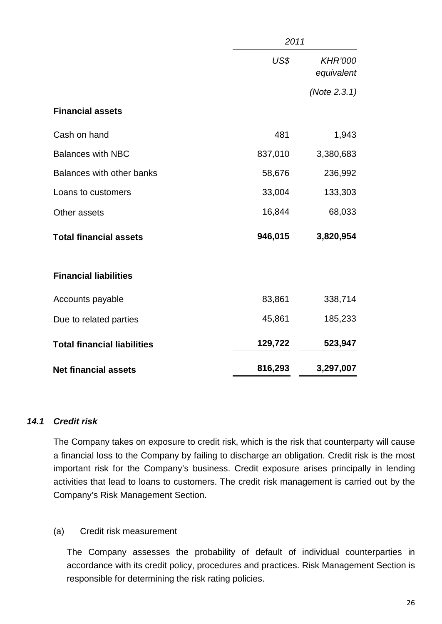|                                    |         | 2011                         |  |  |  |
|------------------------------------|---------|------------------------------|--|--|--|
|                                    | US\$    | <b>KHR'000</b><br>equivalent |  |  |  |
|                                    |         | (Note 2.3.1)                 |  |  |  |
| <b>Financial assets</b>            |         |                              |  |  |  |
| Cash on hand                       | 481     | 1,943                        |  |  |  |
| <b>Balances with NBC</b>           | 837,010 | 3,380,683                    |  |  |  |
| Balances with other banks          | 58,676  | 236,992                      |  |  |  |
| Loans to customers                 | 33,004  | 133,303                      |  |  |  |
| Other assets                       | 16,844  | 68,033                       |  |  |  |
| <b>Total financial assets</b>      | 946,015 | 3,820,954                    |  |  |  |
| <b>Financial liabilities</b>       |         |                              |  |  |  |
| Accounts payable                   | 83,861  | 338,714                      |  |  |  |
| Due to related parties             | 45,861  | 185,233                      |  |  |  |
| <b>Total financial liabilities</b> | 129,722 | 523,947                      |  |  |  |
| <b>Net financial assets</b>        | 816,293 | 3,297,007                    |  |  |  |

#### *14.1 Credit risk*

The Company takes on exposure to credit risk, which is the risk that counterparty will cause a financial loss to the Company by failing to discharge an obligation. Credit risk is the most important risk for the Company's business. Credit exposure arises principally in lending activities that lead to loans to customers. The credit risk management is carried out by the Company's Risk Management Section.

#### (a) Credit risk measurement

The Company assesses the probability of default of individual counterparties in accordance with its credit policy, procedures and practices. Risk Management Section is responsible for determining the risk rating policies.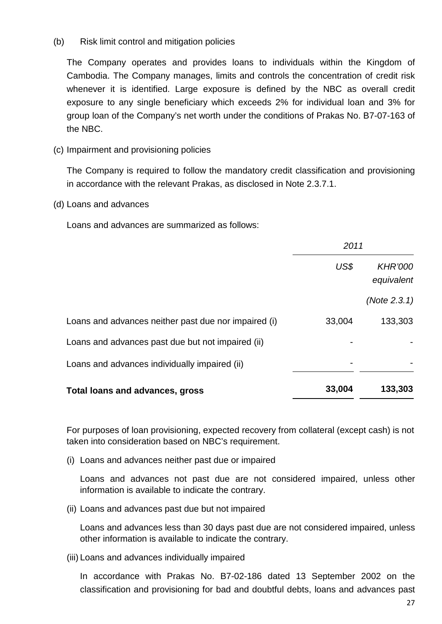#### (b) Risk limit control and mitigation policies

The Company operates and provides loans to individuals within the Kingdom of Cambodia. The Company manages, limits and controls the concentration of credit risk whenever it is identified. Large exposure is defined by the NBC as overall credit exposure to any single beneficiary which exceeds 2% for individual loan and 3% for group loan of the Company's net worth under the conditions of Prakas No. B7-07-163 of the NBC.

(c) Impairment and provisioning policies

The Company is required to follow the mandatory credit classification and provisioning in accordance with the relevant Prakas, as disclosed in Note 2.3.7.1.

(d) Loans and advances

Loans and advances are summarized as follows:

|                                                      | 2011   |                              |  |
|------------------------------------------------------|--------|------------------------------|--|
|                                                      | US\$   | <b>KHR'000</b><br>equivalent |  |
|                                                      |        | (Note 2.3.1)                 |  |
| Loans and advances neither past due nor impaired (i) | 33,004 | 133,303                      |  |
| Loans and advances past due but not impaired (ii)    |        |                              |  |
| Loans and advances individually impaired (ii)        |        |                              |  |
| Total loans and advances, gross                      | 33,004 | 133,303                      |  |

For purposes of loan provisioning, expected recovery from collateral (except cash) is not taken into consideration based on NBC's requirement.

(i) Loans and advances neither past due or impaired

Loans and advances not past due are not considered impaired, unless other information is available to indicate the contrary.

(ii) Loans and advances past due but not impaired

Loans and advances less than 30 days past due are not considered impaired, unless other information is available to indicate the contrary.

(iii) Loans and advances individually impaired

In accordance with Prakas No. B7-02-186 dated 13 September 2002 on the classification and provisioning for bad and doubtful debts, loans and advances past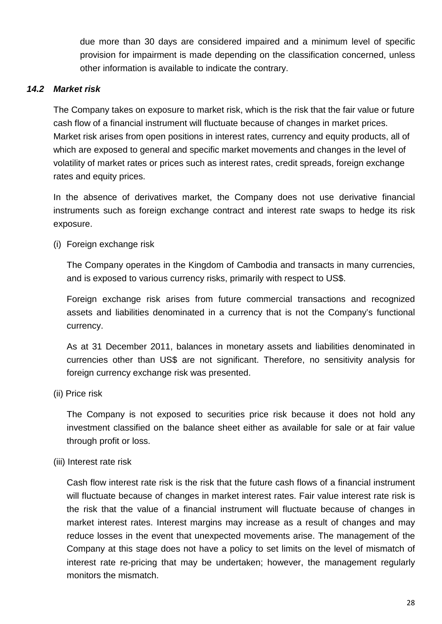due more than 30 days are considered impaired and a minimum level of specific provision for impairment is made depending on the classification concerned, unless other information is available to indicate the contrary.

#### *14.2 Market risk*

The Company takes on exposure to market risk, which is the risk that the fair value or future cash flow of a financial instrument will fluctuate because of changes in market prices. Market risk arises from open positions in interest rates, currency and equity products, all of which are exposed to general and specific market movements and changes in the level of volatility of market rates or prices such as interest rates, credit spreads, foreign exchange rates and equity prices.

In the absence of derivatives market, the Company does not use derivative financial instruments such as foreign exchange contract and interest rate swaps to hedge its risk exposure.

(i) Foreign exchange risk

The Company operates in the Kingdom of Cambodia and transacts in many currencies, and is exposed to various currency risks, primarily with respect to US\$.

Foreign exchange risk arises from future commercial transactions and recognized assets and liabilities denominated in a currency that is not the Company's functional currency.

As at 31 December 2011, balances in monetary assets and liabilities denominated in currencies other than US\$ are not significant. Therefore, no sensitivity analysis for foreign currency exchange risk was presented.

(ii) Price risk

The Company is not exposed to securities price risk because it does not hold any investment classified on the balance sheet either as available for sale or at fair value through profit or loss.

(iii) Interest rate risk

Cash flow interest rate risk is the risk that the future cash flows of a financial instrument will fluctuate because of changes in market interest rates. Fair value interest rate risk is the risk that the value of a financial instrument will fluctuate because of changes in market interest rates. Interest margins may increase as a result of changes and may reduce losses in the event that unexpected movements arise. The management of the Company at this stage does not have a policy to set limits on the level of mismatch of interest rate re-pricing that may be undertaken; however, the management regularly monitors the mismatch.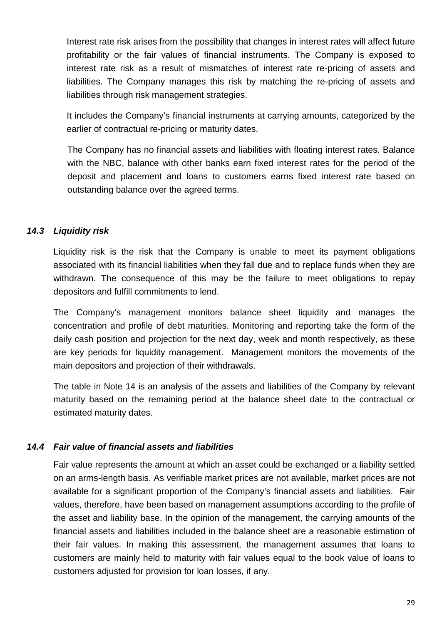Interest rate risk arises from the possibility that changes in interest rates will affect future profitability or the fair values of financial instruments. The Company is exposed to interest rate risk as a result of mismatches of interest rate re-pricing of assets and liabilities. The Company manages this risk by matching the re-pricing of assets and liabilities through risk management strategies.

It includes the Company's financial instruments at carrying amounts, categorized by the earlier of contractual re-pricing or maturity dates.

The Company has no financial assets and liabilities with floating interest rates. Balance with the NBC, balance with other banks earn fixed interest rates for the period of the deposit and placement and loans to customers earns fixed interest rate based on outstanding balance over the agreed terms.

#### *14.3 Liquidity risk*

Liquidity risk is the risk that the Company is unable to meet its payment obligations associated with its financial liabilities when they fall due and to replace funds when they are withdrawn. The consequence of this may be the failure to meet obligations to repay depositors and fulfill commitments to lend.

The Company's management monitors balance sheet liquidity and manages the concentration and profile of debt maturities. Monitoring and reporting take the form of the daily cash position and projection for the next day, week and month respectively, as these are key periods for liquidity management. Management monitors the movements of the main depositors and projection of their withdrawals.

The table in Note 14 is an analysis of the assets and liabilities of the Company by relevant maturity based on the remaining period at the balance sheet date to the contractual or estimated maturity dates.

#### *14.4 Fair value of financial assets and liabilities*

Fair value represents the amount at which an asset could be exchanged or a liability settled on an arms-length basis. As verifiable market prices are not available, market prices are not available for a significant proportion of the Company's financial assets and liabilities. Fair values, therefore, have been based on management assumptions according to the profile of the asset and liability base. In the opinion of the management, the carrying amounts of the financial assets and liabilities included in the balance sheet are a reasonable estimation of their fair values. In making this assessment, the management assumes that loans to customers are mainly held to maturity with fair values equal to the book value of loans to customers adjusted for provision for loan losses, if any.